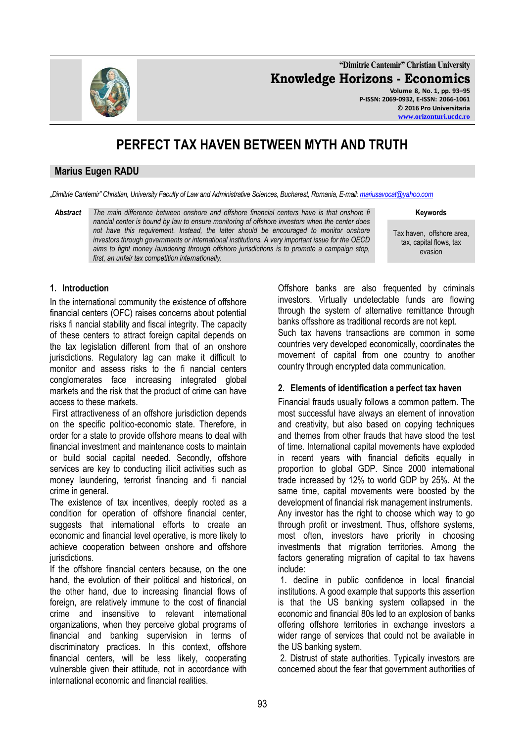**"Dimitrie Cantemir" Christian University Knowledge Horizons - Economics Volume 8, No. 1, pp. 93–95 P-ISSN: 2069-0932, E-ISSN: 2066-1061**

# **PERFECT TAX HAVEN BETWEEN MYTH AND TRUTH**

#### **Marius Eugen RADU**

*"Dimitrie Cantemir" Christian, University Faculty of Law and Administrative Sciences, Bucharest, Romania, E-mail[: mariusavocat@yahoo.com](mailto:mariusavocat@yahoo.com)*

*Abstract The main difference between onshore and offshore financial centers have is that onshore fi nancial center is bound by law to ensure monitoring of offshore investors when the center does not have this requirement. Instead, the latter should be encouraged to monitor onshore investors through governments or international institutions. A very important issue for the OECD aims to fight money laundering through offshore jurisdictions is to promote a campaign stop, first, an unfair tax competition internationally.*

**Keywords**

Tax haven, offshore area, tax, capital flows, tax evasion

## **1. Introduction**

In the international community the existence of offshore financial centers (OFC) raises concerns about potential risks fi nancial stability and fiscal integrity. The capacity of these centers to attract foreign capital depends on the tax legislation different from that of an onshore jurisdictions. Regulatory lag can make it difficult to monitor and assess risks to the fi nancial centers conglomerates face increasing integrated global markets and the risk that the product of crime can have access to these markets.

First attractiveness of an offshore jurisdiction depends on the specific politico-economic state. Therefore, in order for a state to provide offshore means to deal with financial investment and maintenance costs to maintain or build social capital needed. Secondly, offshore services are key to conducting illicit activities such as money laundering, terrorist financing and fi nancial crime in general.

The existence of tax incentives, deeply rooted as a condition for operation of offshore financial center, suggests that international efforts to create an economic and financial level operative, is more likely to achieve cooperation between onshore and offshore jurisdictions.

If the offshore financial centers because, on the one hand, the evolution of their political and historical, on the other hand, due to increasing financial flows of foreign, are relatively immune to the cost of financial crime and insensitive to relevant international organizations, when they perceive global programs of financial and banking supervision in terms of discriminatory practices. In this context, offshore financial centers, will be less likely, cooperating vulnerable given their attitude, not in accordance with international economic and financial realities.

Offshore banks are also frequented by criminals investors. Virtually undetectable funds are flowing through the system of alternative remittance through banks offsshore as traditional records are not kept. Such tax havens transactions are common in some countries very developed economically, coordinates the movement of capital from one country to another country through encrypted data communication.

#### **2. Elements of identification a perfect tax haven**

Financial frauds usually follows a common pattern. The most successful have always an element of innovation and creativity, but also based on copying techniques and themes from other frauds that have stood the test of time. International capital movements have exploded in recent years with financial deficits equally in proportion to global GDP. Since 2000 international trade increased by 12% to world GDP by 25%. At the same time, capital movements were boosted by the development of financial risk management instruments. Any investor has the right to choose which way to go through profit or investment. Thus, offshore systems, most often, investors have priority in choosing investments that migration territories. Among the factors generating migration of capital to tax havens

1. decline in public confidence in local financial institutions. A good example that supports this assertion is that the US banking system collapsed in the economic and financial 80s led to an explosion of banks offering offshore territories in exchange investors a wider range of services that could not be available in the US banking system.

2. Distrust of state authorities. Typically investors are concerned about the fear that government authorities of

include:

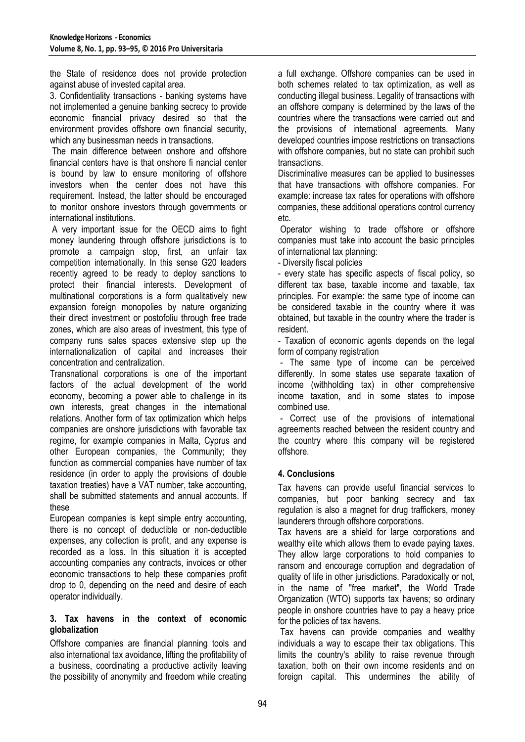the State of residence does not provide protection against abuse of invested capital area.

3. Confidentiality transactions - banking systems have not implemented a genuine banking secrecy to provide economic financial privacy desired so that the environment provides offshore own financial security, which any businessman needs in transactions.

The main difference between onshore and offshore financial centers have is that onshore fi nancial center is bound by law to ensure monitoring of offshore investors when the center does not have this requirement. Instead, the latter should be encouraged to monitor onshore investors through governments or international institutions.

A very important issue for the OECD aims to fight money laundering through offshore jurisdictions is to promote a campaign stop, first, an unfair tax competition internationally. In this sense G20 leaders recently agreed to be ready to deploy sanctions to protect their financial interests. Development of multinational corporations is a form qualitatively new expansion foreign monopolies by nature organizing their direct investment or postofoliu through free trade zones, which are also areas of investment, this type of company runs sales spaces extensive step up the internationalization of capital and increases their concentration and centralization.

Transnational corporations is one of the important factors of the actual development of the world economy, becoming a power able to challenge in its own interests, great changes in the international relations. Another form of tax optimization which helps companies are onshore jurisdictions with favorable tax regime, for example companies in Malta, Cyprus and other European companies, the Community; they function as commercial companies have number of tax residence (in order to apply the provisions of double taxation treaties) have a VAT number, take accounting, shall be submitted statements and annual accounts. If these

European companies is kept simple entry accounting, there is no concept of deductible or non-deductible expenses, any collection is profit, and any expense is recorded as a loss. In this situation it is accepted accounting companies any contracts, invoices or other economic transactions to help these companies profit drop to 0, depending on the need and desire of each operator individually.

#### **3. Tax havens in the context of economic globalization**

Offshore companies are financial planning tools and also international tax avoidance, lifting the profitability of a business, coordinating a productive activity leaving the possibility of anonymity and freedom while creating a full exchange. Offshore companies can be used in both schemes related to tax optimization, as well as conducting illegal business. Legality of transactions with an offshore company is determined by the laws of the countries where the transactions were carried out and the provisions of international agreements. Many developed countries impose restrictions on transactions with offshore companies, but no state can prohibit such transactions.

Discriminative measures can be applied to businesses that have transactions with offshore companies. For example: increase tax rates for operations with offshore companies, these additional operations control currency etc.

Operator wishing to trade offshore or offshore companies must take into account the basic principles of international tax planning:

- Diversity fiscal policies

- every state has specific aspects of fiscal policy, so different tax base, taxable income and taxable, tax principles. For example: the same type of income can be considered taxable in the country where it was obtained, but taxable in the country where the trader is resident.

- Taxation of economic agents depends on the legal form of company registration

- The same type of income can be perceived differently. In some states use separate taxation of income (withholding tax) in other comprehensive income taxation, and in some states to impose combined use.

- Correct use of the provisions of international agreements reached between the resident country and the country where this company will be registered offshore.

# **4. Conclusions**

Tax havens can provide useful financial services to companies, but poor banking secrecy and tax regulation is also a magnet for drug traffickers, money launderers through offshore corporations.

Tax havens are a shield for large corporations and wealthy elite which allows them to evade paying taxes. They allow large corporations to hold companies to ransom and encourage corruption and degradation of quality of life in other jurisdictions. Paradoxically or not, in the name of "free market", the World Trade Organization (WTO) supports tax havens; so ordinary people in onshore countries have to pay a heavy price for the policies of tax havens.

Tax havens can provide companies and wealthy individuals a way to escape their tax obligations. This limits the country's ability to raise revenue through taxation, both on their own income residents and on foreign capital. This undermines the ability of